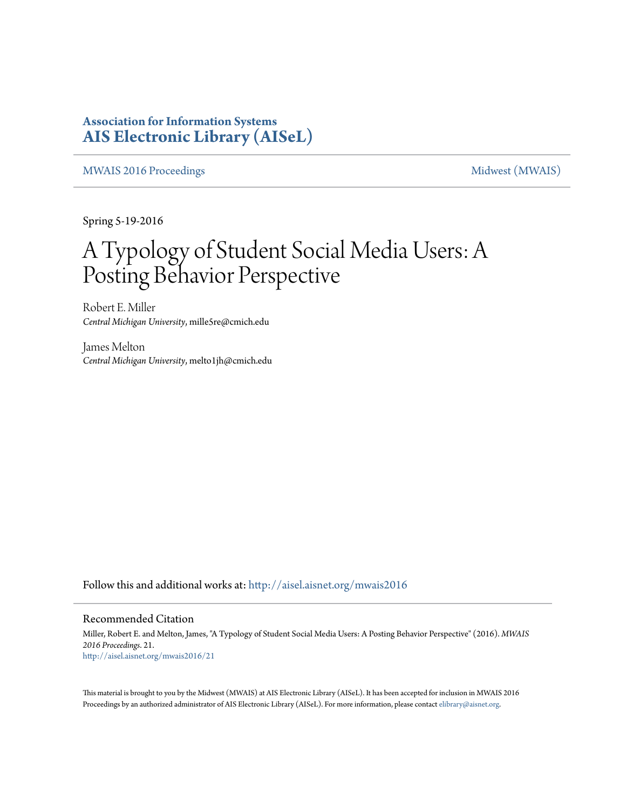### **Association for Information Systems [AIS Electronic Library \(AISeL\)](http://aisel.aisnet.org?utm_source=aisel.aisnet.org%2Fmwais2016%2F21&utm_medium=PDF&utm_campaign=PDFCoverPages)**

[MWAIS 2016 Proceedings](http://aisel.aisnet.org/mwais2016?utm_source=aisel.aisnet.org%2Fmwais2016%2F21&utm_medium=PDF&utm_campaign=PDFCoverPages) **Midwest** (MWAIS)

Spring 5-19-2016

# A Typology of Student Social Media Users: A Posting Behavior Perspective

Robert E. Miller *Central Michigan University*, mille5re@cmich.edu

James Melton *Central Michigan University*, melto1jh@cmich.edu

Follow this and additional works at: [http://aisel.aisnet.org/mwais2016](http://aisel.aisnet.org/mwais2016?utm_source=aisel.aisnet.org%2Fmwais2016%2F21&utm_medium=PDF&utm_campaign=PDFCoverPages)

#### Recommended Citation

Miller, Robert E. and Melton, James, "A Typology of Student Social Media Users: A Posting Behavior Perspective" (2016). *MWAIS 2016 Proceedings*. 21. [http://aisel.aisnet.org/mwais2016/21](http://aisel.aisnet.org/mwais2016/21?utm_source=aisel.aisnet.org%2Fmwais2016%2F21&utm_medium=PDF&utm_campaign=PDFCoverPages)

This material is brought to you by the Midwest (MWAIS) at AIS Electronic Library (AISeL). It has been accepted for inclusion in MWAIS 2016 Proceedings by an authorized administrator of AIS Electronic Library (AISeL). For more information, please contact [elibrary@aisnet.org](mailto:elibrary@aisnet.org%3E).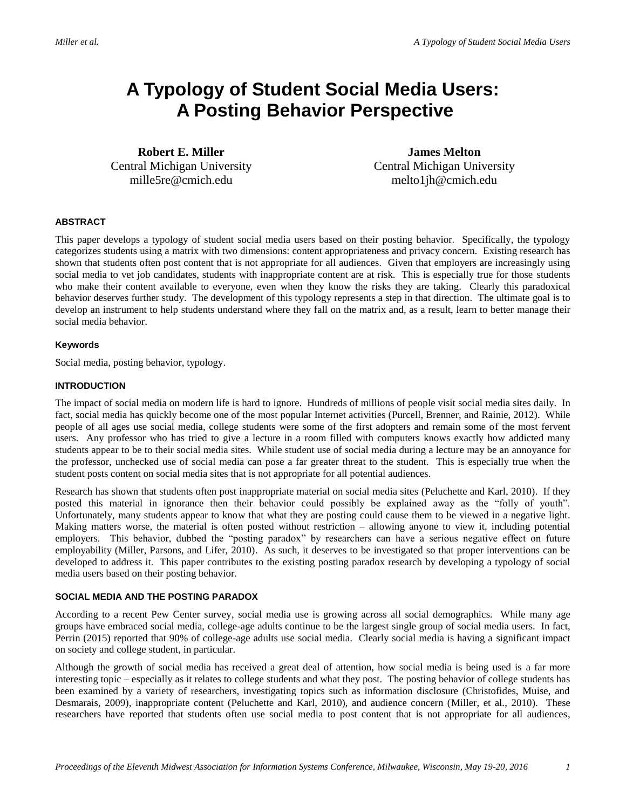## **A Typology of Student Social Media Users: A Posting Behavior Perspective**

**Robert E. Miller** Central Michigan University mille5re@cmich.edu

**James Melton** Central Michigan University melto1jh@cmich.edu

#### **ABSTRACT**

This paper develops a typology of student social media users based on their posting behavior. Specifically, the typology categorizes students using a matrix with two dimensions: content appropriateness and privacy concern. Existing research has shown that students often post content that is not appropriate for all audiences. Given that employers are increasingly using social media to vet job candidates, students with inappropriate content are at risk. This is especially true for those students who make their content available to everyone, even when they know the risks they are taking. Clearly this paradoxical behavior deserves further study. The development of this typology represents a step in that direction. The ultimate goal is to develop an instrument to help students understand where they fall on the matrix and, as a result, learn to better manage their social media behavior.

#### **Keywords**

Social media, posting behavior, typology.

#### **INTRODUCTION**

The impact of social media on modern life is hard to ignore. Hundreds of millions of people visit social media sites daily. In fact, social media has quickly become one of the most popular Internet activities (Purcell, Brenner, and Rainie, 2012). While people of all ages use social media, college students were some of the first adopters and remain some of the most fervent users. Any professor who has tried to give a lecture in a room filled with computers knows exactly how addicted many students appear to be to their social media sites. While student use of social media during a lecture may be an annoyance for the professor, unchecked use of social media can pose a far greater threat to the student. This is especially true when the student posts content on social media sites that is not appropriate for all potential audiences.

Research has shown that students often post inappropriate material on social media sites (Peluchette and Karl, 2010). If they posted this material in ignorance then their behavior could possibly be explained away as the "folly of youth". Unfortunately, many students appear to know that what they are posting could cause them to be viewed in a negative light. Making matters worse, the material is often posted without restriction – allowing anyone to view it, including potential employers. This behavior, dubbed the "posting paradox" by researchers can have a serious negative effect on future employability (Miller, Parsons, and Lifer, 2010). As such, it deserves to be investigated so that proper interventions can be developed to address it. This paper contributes to the existing posting paradox research by developing a typology of social media users based on their posting behavior.

#### **SOCIAL MEDIA AND THE POSTING PARADOX**

According to a recent Pew Center survey, social media use is growing across all social demographics. While many age groups have embraced social media, college-age adults continue to be the largest single group of social media users. In fact, Perrin (2015) reported that 90% of college-age adults use social media. Clearly social media is having a significant impact on society and college student, in particular.

Although the growth of social media has received a great deal of attention, how social media is being used is a far more interesting topic – especially as it relates to college students and what they post. The posting behavior of college students has been examined by a variety of researchers, investigating topics such as information disclosure (Christofides, Muise, and Desmarais, 2009), inappropriate content (Peluchette and Karl, 2010), and audience concern (Miller, et al., 2010). These researchers have reported that students often use social media to post content that is not appropriate for all audiences,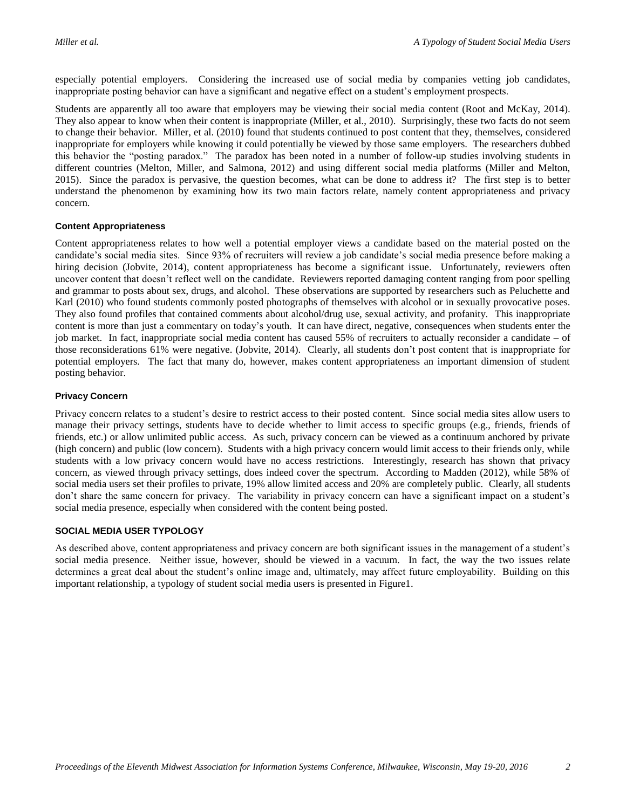especially potential employers. Considering the increased use of social media by companies vetting job candidates, inappropriate posting behavior can have a significant and negative effect on a student's employment prospects.

Students are apparently all too aware that employers may be viewing their social media content (Root and McKay, 2014). They also appear to know when their content is inappropriate (Miller, et al., 2010). Surprisingly, these two facts do not seem to change their behavior. Miller, et al. (2010) found that students continued to post content that they, themselves, considered inappropriate for employers while knowing it could potentially be viewed by those same employers. The researchers dubbed this behavior the "posting paradox." The paradox has been noted in a number of follow-up studies involving students in different countries (Melton, Miller, and Salmona, 2012) and using different social media platforms (Miller and Melton, 2015). Since the paradox is pervasive, the question becomes, what can be done to address it? The first step is to better understand the phenomenon by examining how its two main factors relate, namely content appropriateness and privacy concern.

#### **Content Appropriateness**

Content appropriateness relates to how well a potential employer views a candidate based on the material posted on the candidate's social media sites. Since 93% of recruiters will review a job candidate's social media presence before making a hiring decision (Jobvite, 2014), content appropriateness has become a significant issue. Unfortunately, reviewers often uncover content that doesn't reflect well on the candidate. Reviewers reported damaging content ranging from poor spelling and grammar to posts about sex, drugs, and alcohol. These observations are supported by researchers such as Peluchette and Karl (2010) who found students commonly posted photographs of themselves with alcohol or in sexually provocative poses. They also found profiles that contained comments about alcohol/drug use, sexual activity, and profanity. This inappropriate content is more than just a commentary on today's youth. It can have direct, negative, consequences when students enter the job market. In fact, inappropriate social media content has caused 55% of recruiters to actually reconsider a candidate – of those reconsiderations 61% were negative. (Jobvite, 2014). Clearly, all students don't post content that is inappropriate for potential employers. The fact that many do, however, makes content appropriateness an important dimension of student posting behavior.

#### **Privacy Concern**

Privacy concern relates to a student's desire to restrict access to their posted content. Since social media sites allow users to manage their privacy settings, students have to decide whether to limit access to specific groups (e.g., friends, friends of friends, etc.) or allow unlimited public access. As such, privacy concern can be viewed as a continuum anchored by private (high concern) and public (low concern). Students with a high privacy concern would limit access to their friends only, while students with a low privacy concern would have no access restrictions. Interestingly, research has shown that privacy concern, as viewed through privacy settings, does indeed cover the spectrum. According to Madden (2012), while 58% of social media users set their profiles to private, 19% allow limited access and 20% are completely public. Clearly, all students don't share the same concern for privacy. The variability in privacy concern can have a significant impact on a student's social media presence, especially when considered with the content being posted.

#### **SOCIAL MEDIA USER TYPOLOGY**

As described above, content appropriateness and privacy concern are both significant issues in the management of a student's social media presence. Neither issue, however, should be viewed in a vacuum. In fact, the way the two issues relate determines a great deal about the student's online image and, ultimately, may affect future employability. Building on this important relationship, a typology of student social media users is presented in Figure1.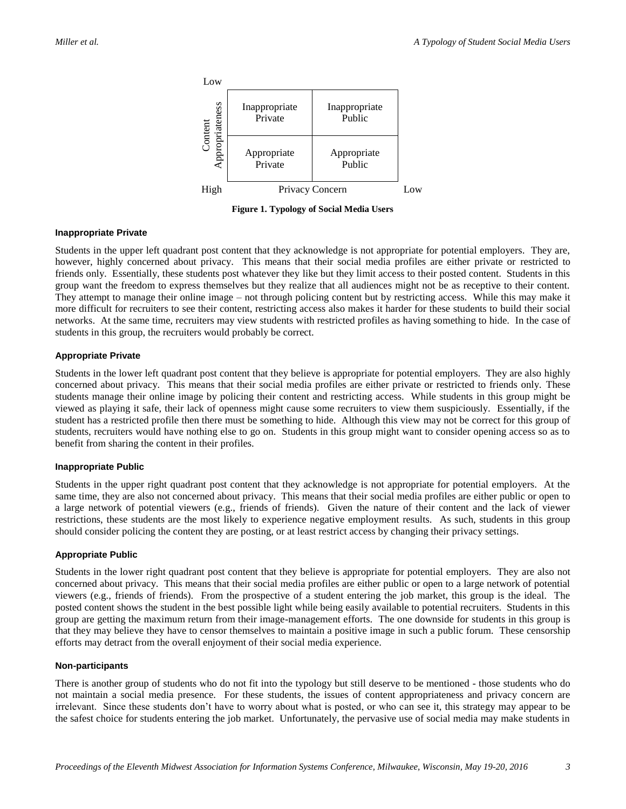

**Figure 1. Typology of Social Media Users**

#### **Inappropriate Private**

Students in the upper left quadrant post content that they acknowledge is not appropriate for potential employers. They are, however, highly concerned about privacy. This means that their social media profiles are either private or restricted to friends only. Essentially, these students post whatever they like but they limit access to their posted content. Students in this group want the freedom to express themselves but they realize that all audiences might not be as receptive to their content. They attempt to manage their online image – not through policing content but by restricting access. While this may make it more difficult for recruiters to see their content, restricting access also makes it harder for these students to build their social networks. At the same time, recruiters may view students with restricted profiles as having something to hide. In the case of students in this group, the recruiters would probably be correct.

#### **Appropriate Private**

Students in the lower left quadrant post content that they believe is appropriate for potential employers. They are also highly concerned about privacy. This means that their social media profiles are either private or restricted to friends only. These students manage their online image by policing their content and restricting access. While students in this group might be viewed as playing it safe, their lack of openness might cause some recruiters to view them suspiciously. Essentially, if the student has a restricted profile then there must be something to hide. Although this view may not be correct for this group of students, recruiters would have nothing else to go on. Students in this group might want to consider opening access so as to benefit from sharing the content in their profiles.

#### **Inappropriate Public**

Students in the upper right quadrant post content that they acknowledge is not appropriate for potential employers. At the same time, they are also not concerned about privacy. This means that their social media profiles are either public or open to a large network of potential viewers (e.g., friends of friends). Given the nature of their content and the lack of viewer restrictions, these students are the most likely to experience negative employment results. As such, students in this group should consider policing the content they are posting, or at least restrict access by changing their privacy settings.

#### **Appropriate Public**

Students in the lower right quadrant post content that they believe is appropriate for potential employers. They are also not concerned about privacy. This means that their social media profiles are either public or open to a large network of potential viewers (e.g., friends of friends). From the prospective of a student entering the job market, this group is the ideal. The posted content shows the student in the best possible light while being easily available to potential recruiters. Students in this group are getting the maximum return from their image-management efforts. The one downside for students in this group is that they may believe they have to censor themselves to maintain a positive image in such a public forum. These censorship efforts may detract from the overall enjoyment of their social media experience.

#### **Non-participants**

There is another group of students who do not fit into the typology but still deserve to be mentioned - those students who do not maintain a social media presence. For these students, the issues of content appropriateness and privacy concern are irrelevant. Since these students don't have to worry about what is posted, or who can see it, this strategy may appear to be the safest choice for students entering the job market. Unfortunately, the pervasive use of social media may make students in